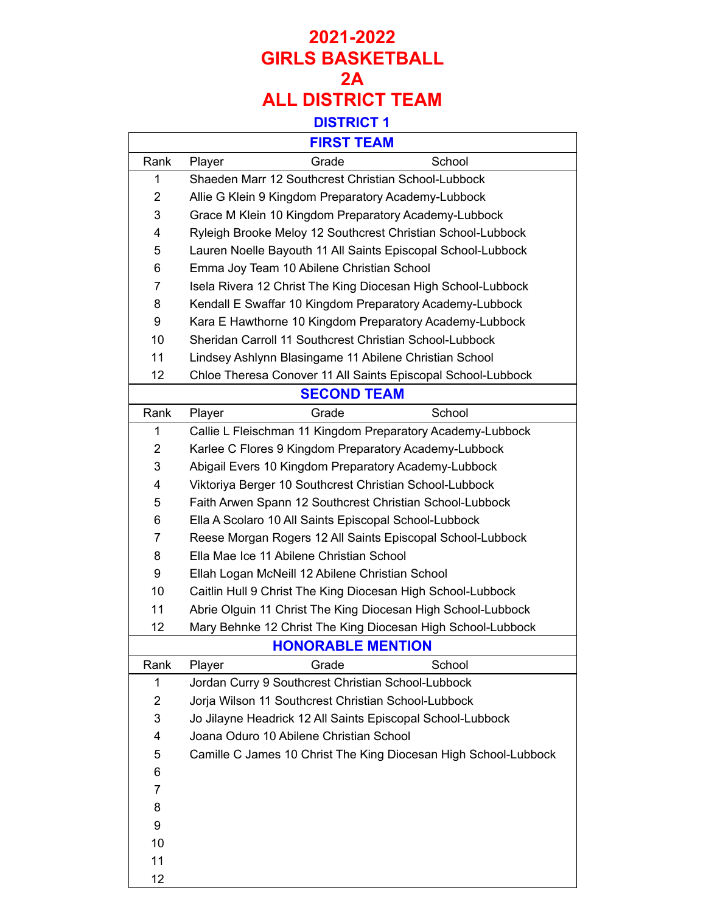### **FIRST TEAM**

 $\overline{\phantom{a}}$ 

| <b>FIRST TEAM</b> |                                                                 |
|-------------------|-----------------------------------------------------------------|
| Rank              | Grade<br>School<br>Player                                       |
| 1                 | Shaeden Marr 12 Southcrest Christian School-Lubbock             |
| $\overline{2}$    | Allie G Klein 9 Kingdom Preparatory Academy-Lubbock             |
| 3                 | Grace M Klein 10 Kingdom Preparatory Academy-Lubbock            |
| 4                 | Ryleigh Brooke Meloy 12 Southcrest Christian School-Lubbock     |
| 5                 | Lauren Noelle Bayouth 11 All Saints Episcopal School-Lubbock    |
| 6                 | Emma Joy Team 10 Abilene Christian School                       |
| 7                 | Isela Rivera 12 Christ The King Diocesan High School-Lubbock    |
| 8                 | Kendall E Swaffar 10 Kingdom Preparatory Academy-Lubbock        |
| 9                 | Kara E Hawthorne 10 Kingdom Preparatory Academy-Lubbock         |
| 10                | Sheridan Carroll 11 Southcrest Christian School-Lubbock         |
| 11                | Lindsey Ashlynn Blasingame 11 Abilene Christian School          |
| 12                | Chloe Theresa Conover 11 All Saints Episcopal School-Lubbock    |
|                   | <b>SECOND TEAM</b>                                              |
| Rank              | School<br>Grade<br>Player                                       |
| 1                 | Callie L Fleischman 11 Kingdom Preparatory Academy-Lubbock      |
| 2                 | Karlee C Flores 9 Kingdom Preparatory Academy-Lubbock           |
| 3                 | Abigail Evers 10 Kingdom Preparatory Academy-Lubbock            |
| 4                 | Viktoriya Berger 10 Southcrest Christian School-Lubbock         |
| 5                 | Faith Arwen Spann 12 Southcrest Christian School-Lubbock        |
| 6                 | Ella A Scolaro 10 All Saints Episcopal School-Lubbock           |
| 7                 | Reese Morgan Rogers 12 All Saints Episcopal School-Lubbock      |
| 8                 | Ella Mae Ice 11 Abilene Christian School                        |
| 9                 | Ellah Logan McNeill 12 Abilene Christian School                 |
| 10                | Caitlin Hull 9 Christ The King Diocesan High School-Lubbock     |
| 11                | Abrie Olguin 11 Christ The King Diocesan High School-Lubbock    |
| 12                | Mary Behnke 12 Christ The King Diocesan High School-Lubbock     |
|                   | <b>HONORABLE MENTION</b>                                        |
| Rank              | Grade<br>School<br>Player                                       |
| 1                 | Jordan Curry 9 Southcrest Christian School-Lubbock              |
| 2                 | Jorja Wilson 11 Southcrest Christian School-Lubbock             |
| 3                 | Jo Jilayne Headrick 12 All Saints Episcopal School-Lubbock      |
| 4                 | Joana Oduro 10 Abilene Christian School                         |
| 5                 | Camille C James 10 Christ The King Diocesan High School-Lubbock |
| 6                 |                                                                 |
| 7                 |                                                                 |
| 8                 |                                                                 |
| 9                 |                                                                 |
| 10                |                                                                 |
| 11                |                                                                 |
| 12                |                                                                 |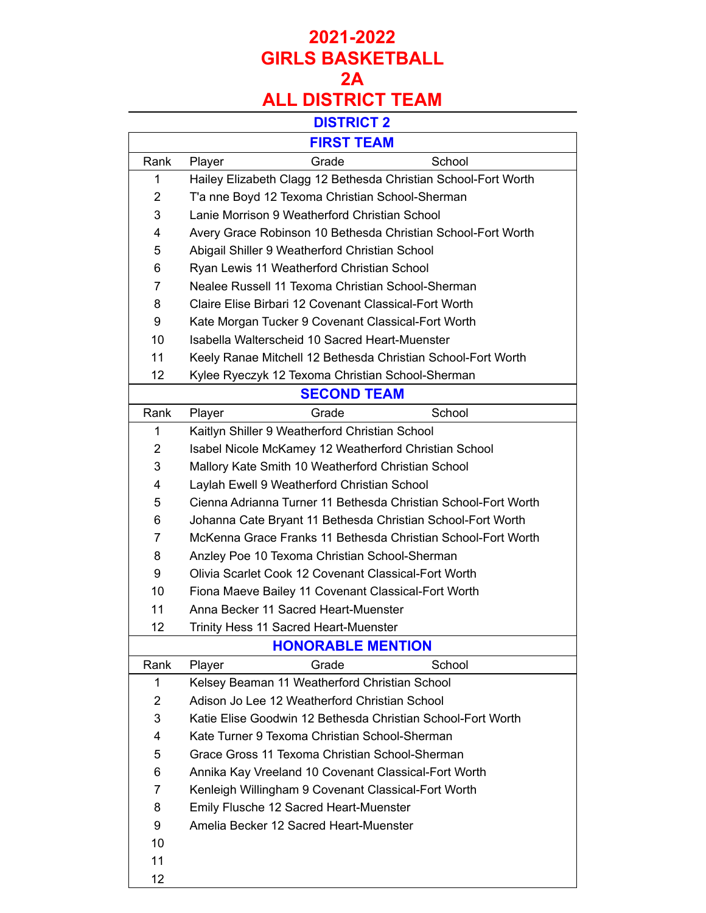|      | <b>FIRST TEAM</b>                                              |
|------|----------------------------------------------------------------|
| Rank | Grade<br>School<br>Player                                      |
| 1    | Hailey Elizabeth Clagg 12 Bethesda Christian School-Fort Worth |
| 2    | T'a nne Boyd 12 Texoma Christian School-Sherman                |
| 3    | Lanie Morrison 9 Weatherford Christian School                  |
| 4    | Avery Grace Robinson 10 Bethesda Christian School-Fort Worth   |
| 5    | Abigail Shiller 9 Weatherford Christian School                 |
| 6    | Ryan Lewis 11 Weatherford Christian School                     |
| 7    | Nealee Russell 11 Texoma Christian School-Sherman              |
| 8    | Claire Elise Birbari 12 Covenant Classical-Fort Worth          |
| 9    | Kate Morgan Tucker 9 Covenant Classical-Fort Worth             |
| 10   | Isabella Walterscheid 10 Sacred Heart-Muenster                 |
| 11   | Keely Ranae Mitchell 12 Bethesda Christian School-Fort Worth   |
| 12   | Kylee Ryeczyk 12 Texoma Christian School-Sherman               |
|      | <b>SECOND TEAM</b>                                             |
| Rank | School<br>Player<br>Grade                                      |
| 1    | Kaitlyn Shiller 9 Weatherford Christian School                 |
| 2    | Isabel Nicole McKamey 12 Weatherford Christian School          |
| 3    | Mallory Kate Smith 10 Weatherford Christian School             |
| 4    | Laylah Ewell 9 Weatherford Christian School                    |
| 5    | Cienna Adrianna Turner 11 Bethesda Christian School-Fort Worth |
| 6    | Johanna Cate Bryant 11 Bethesda Christian School-Fort Worth    |
| 7    | McKenna Grace Franks 11 Bethesda Christian School-Fort Worth   |
| 8    | Anzley Poe 10 Texoma Christian School-Sherman                  |
| 9    | Olivia Scarlet Cook 12 Covenant Classical-Fort Worth           |
| 10   | Fiona Maeve Bailey 11 Covenant Classical-Fort Worth            |
| 11   | Anna Becker 11 Sacred Heart-Muenster                           |
| 12   | Trinity Hess 11 Sacred Heart-Muenster                          |
|      | <b>HONORABLE MENTION</b>                                       |
| Rank | School<br>Grade<br>Player                                      |
| 1    | Kelsey Beaman 11 Weatherford Christian School                  |
| 2    | Adison Jo Lee 12 Weatherford Christian School                  |
| 3    | Katie Elise Goodwin 12 Bethesda Christian School-Fort Worth    |
| 4    | Kate Turner 9 Texoma Christian School-Sherman                  |
| 5    | Grace Gross 11 Texoma Christian School-Sherman                 |
| 6    | Annika Kay Vreeland 10 Covenant Classical-Fort Worth           |
| 7    | Kenleigh Willingham 9 Covenant Classical-Fort Worth            |
| 8    | Emily Flusche 12 Sacred Heart-Muenster                         |
| 9    | Amelia Becker 12 Sacred Heart-Muenster                         |
| 10   |                                                                |
| 11   |                                                                |
| 12   |                                                                |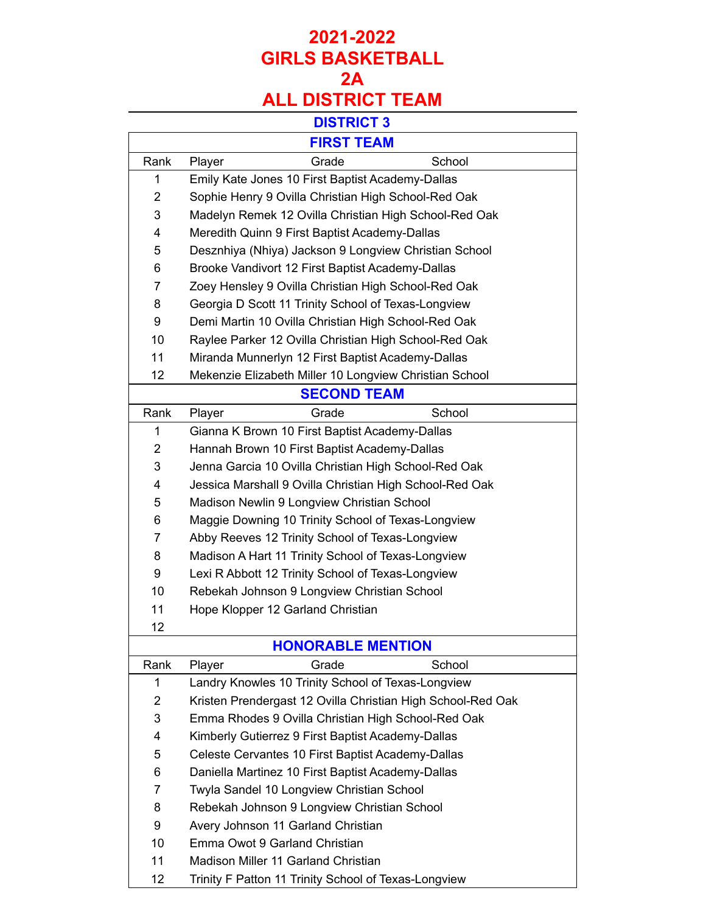|                | <b>FIRST TEAM</b>                                           |
|----------------|-------------------------------------------------------------|
| Rank           | Grade<br>School<br>Player                                   |
| 1              | Emily Kate Jones 10 First Baptist Academy-Dallas            |
| $\overline{2}$ | Sophie Henry 9 Ovilla Christian High School-Red Oak         |
| 3              | Madelyn Remek 12 Ovilla Christian High School-Red Oak       |
| 4              | Meredith Quinn 9 First Baptist Academy-Dallas               |
| 5              | Desznhiya (Nhiya) Jackson 9 Longview Christian School       |
| 6              | Brooke Vandivort 12 First Baptist Academy-Dallas            |
| 7              | Zoey Hensley 9 Ovilla Christian High School-Red Oak         |
| 8              | Georgia D Scott 11 Trinity School of Texas-Longview         |
| 9              | Demi Martin 10 Ovilla Christian High School-Red Oak         |
| 10             | Raylee Parker 12 Ovilla Christian High School-Red Oak       |
| 11             | Miranda Munnerlyn 12 First Baptist Academy-Dallas           |
| 12             | Mekenzie Elizabeth Miller 10 Longview Christian School      |
|                | <b>SECOND TEAM</b>                                          |
| Rank           | School<br>Grade<br>Player                                   |
| 1              | Gianna K Brown 10 First Baptist Academy-Dallas              |
| $\overline{2}$ | Hannah Brown 10 First Baptist Academy-Dallas                |
| 3              | Jenna Garcia 10 Ovilla Christian High School-Red Oak        |
| 4              | Jessica Marshall 9 Ovilla Christian High School-Red Oak     |
| 5              | Madison Newlin 9 Longview Christian School                  |
| 6              | Maggie Downing 10 Trinity School of Texas-Longview          |
| 7              | Abby Reeves 12 Trinity School of Texas-Longview             |
| 8              | Madison A Hart 11 Trinity School of Texas-Longview          |
| 9              | Lexi R Abbott 12 Trinity School of Texas-Longview           |
| 10             | Rebekah Johnson 9 Longview Christian School                 |
| 11             | Hope Klopper 12 Garland Christian                           |
| 12             |                                                             |
|                | <b>HONORABLE MENTION</b>                                    |
| Rank           | Grade<br>School<br>Player                                   |
| 1              | Landry Knowles 10 Trinity School of Texas-Longview          |
| 2              | Kristen Prendergast 12 Ovilla Christian High School-Red Oak |
| 3              | Emma Rhodes 9 Ovilla Christian High School-Red Oak          |
| 4              | Kimberly Gutierrez 9 First Baptist Academy-Dallas           |
| 5              | Celeste Cervantes 10 First Baptist Academy-Dallas           |
| 6              | Daniella Martinez 10 First Baptist Academy-Dallas           |
| 7              | Twyla Sandel 10 Longview Christian School                   |
| 8              | Rebekah Johnson 9 Longview Christian School                 |
| 9              | Avery Johnson 11 Garland Christian                          |
| 10             | Emma Owot 9 Garland Christian                               |
| 11             | Madison Miller 11 Garland Christian                         |
| 12             | Trinity F Patton 11 Trinity School of Texas-Longview        |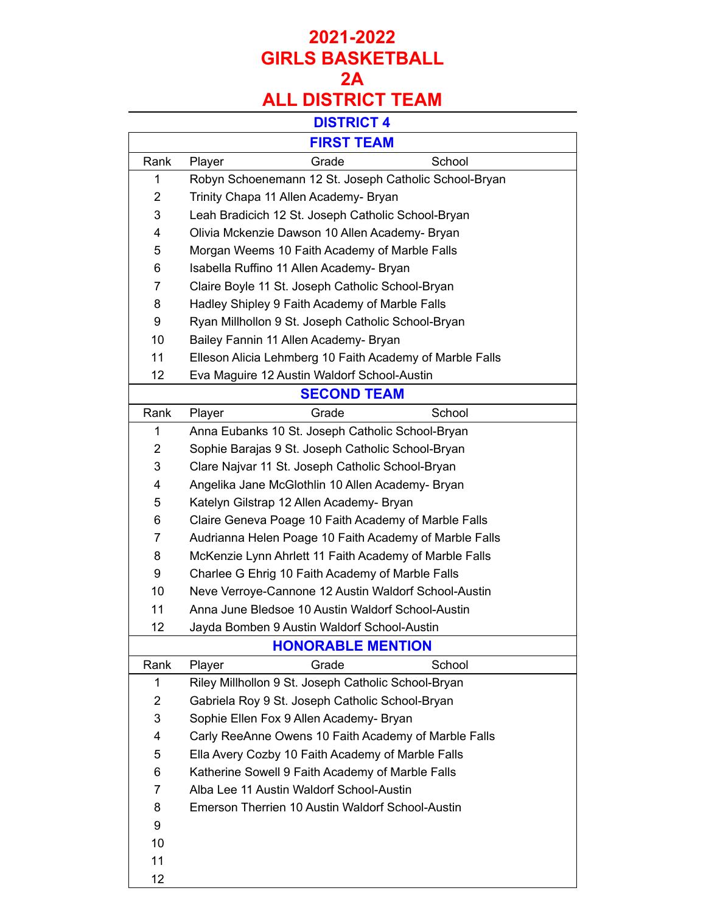| <b>FIRST TEAM</b> |                                                          |
|-------------------|----------------------------------------------------------|
| Rank              | Grade<br>School<br>Player                                |
| 1                 | Robyn Schoenemann 12 St. Joseph Catholic School-Bryan    |
| $\overline{2}$    | Trinity Chapa 11 Allen Academy- Bryan                    |
| 3                 | Leah Bradicich 12 St. Joseph Catholic School-Bryan       |
| 4                 | Olivia Mckenzie Dawson 10 Allen Academy- Bryan           |
| 5                 | Morgan Weems 10 Faith Academy of Marble Falls            |
| 6                 | Isabella Ruffino 11 Allen Academy- Bryan                 |
| 7                 | Claire Boyle 11 St. Joseph Catholic School-Bryan         |
| 8                 | Hadley Shipley 9 Faith Academy of Marble Falls           |
| 9                 | Ryan Millhollon 9 St. Joseph Catholic School-Bryan       |
| 10                | Bailey Fannin 11 Allen Academy- Bryan                    |
| 11                | Elleson Alicia Lehmberg 10 Faith Academy of Marble Falls |
| 12                | Eva Maguire 12 Austin Waldorf School-Austin              |
|                   | <b>SECOND TEAM</b>                                       |
| Rank              | Grade<br>School<br>Player                                |
| 1                 | Anna Eubanks 10 St. Joseph Catholic School-Bryan         |
| $\overline{2}$    | Sophie Barajas 9 St. Joseph Catholic School-Bryan        |
| 3                 | Clare Najvar 11 St. Joseph Catholic School-Bryan         |
| 4                 | Angelika Jane McGlothlin 10 Allen Academy- Bryan         |
| 5                 | Katelyn Gilstrap 12 Allen Academy- Bryan                 |
| 6                 | Claire Geneva Poage 10 Faith Academy of Marble Falls     |
| 7                 | Audrianna Helen Poage 10 Faith Academy of Marble Falls   |
| 8                 | McKenzie Lynn Ahrlett 11 Faith Academy of Marble Falls   |
| 9                 | Charlee G Ehrig 10 Faith Academy of Marble Falls         |
| 10                | Neve Verroye-Cannone 12 Austin Waldorf School-Austin     |
| 11                | Anna June Bledsoe 10 Austin Waldorf School-Austin        |
| 12                | Jayda Bomben 9 Austin Waldorf School-Austin              |
|                   | <b>HONORABLE MENTION</b>                                 |
| Rank              | Grade<br>School<br>Player                                |
| 1                 | Riley Millhollon 9 St. Joseph Catholic School-Bryan      |
| $\overline{2}$    | Gabriela Roy 9 St. Joseph Catholic School-Bryan          |
| 3                 | Sophie Ellen Fox 9 Allen Academy- Bryan                  |
| 4                 | Carly ReeAnne Owens 10 Faith Academy of Marble Falls     |
| 5                 | Ella Avery Cozby 10 Faith Academy of Marble Falls        |
| 6                 | Katherine Sowell 9 Faith Academy of Marble Falls         |
| 7                 | Alba Lee 11 Austin Waldorf School-Austin                 |
| 8                 | Emerson Therrien 10 Austin Waldorf School-Austin         |
| 9                 |                                                          |
| 10                |                                                          |
| 11                |                                                          |
| 12                |                                                          |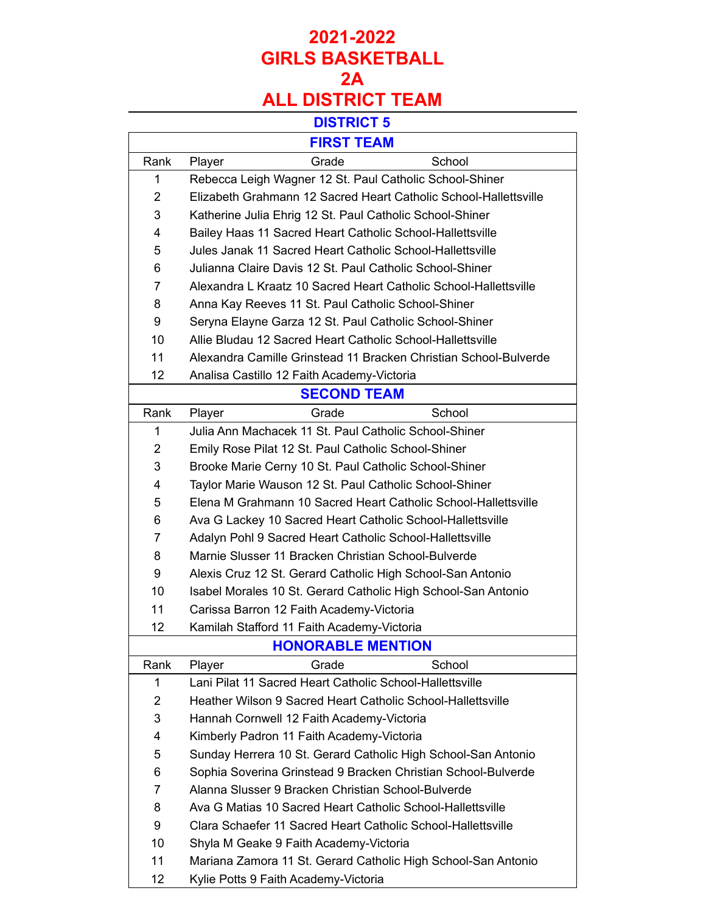| <b>FIRST TEAM</b> |                                                                  |
|-------------------|------------------------------------------------------------------|
| Rank              | Grade<br>School<br>Player                                        |
| 1                 | Rebecca Leigh Wagner 12 St. Paul Catholic School-Shiner          |
| $\overline{2}$    | Elizabeth Grahmann 12 Sacred Heart Catholic School-Hallettsville |
| 3                 | Katherine Julia Ehrig 12 St. Paul Catholic School-Shiner         |
| 4                 | Bailey Haas 11 Sacred Heart Catholic School-Hallettsville        |
| 5                 | Jules Janak 11 Sacred Heart Catholic School-Hallettsville        |
| 6                 | Julianna Claire Davis 12 St. Paul Catholic School-Shiner         |
| 7                 | Alexandra L Kraatz 10 Sacred Heart Catholic School-Hallettsville |
| 8                 | Anna Kay Reeves 11 St. Paul Catholic School-Shiner               |
| 9                 | Seryna Elayne Garza 12 St. Paul Catholic School-Shiner           |
| 10                | Allie Bludau 12 Sacred Heart Catholic School-Hallettsville       |
| 11                | Alexandra Camille Grinstead 11 Bracken Christian School-Bulverde |
| 12                | Analisa Castillo 12 Faith Academy-Victoria                       |
|                   | <b>SECOND TEAM</b>                                               |
| Rank              | Grade<br>School<br>Player                                        |
| 1                 | Julia Ann Machacek 11 St. Paul Catholic School-Shiner            |
| $\overline{2}$    | Emily Rose Pilat 12 St. Paul Catholic School-Shiner              |
| 3                 | Brooke Marie Cerny 10 St. Paul Catholic School-Shiner            |
| 4                 | Taylor Marie Wauson 12 St. Paul Catholic School-Shiner           |
| 5                 | Elena M Grahmann 10 Sacred Heart Catholic School-Hallettsville   |
| 6                 | Ava G Lackey 10 Sacred Heart Catholic School-Hallettsville       |
| 7                 | Adalyn Pohl 9 Sacred Heart Catholic School-Hallettsville         |
| 8                 | Marnie Slusser 11 Bracken Christian School-Bulverde              |
| 9                 | Alexis Cruz 12 St. Gerard Catholic High School-San Antonio       |
| 10                | Isabel Morales 10 St. Gerard Catholic High School-San Antonio    |
| 11                | Carissa Barron 12 Faith Academy-Victoria                         |
| 12                | Kamilah Stafford 11 Faith Academy-Victoria                       |
|                   | <b>HONORABLE MENTION</b>                                         |
| Rank              | Grade<br>School<br>Player                                        |
| 1                 | Lani Pilat 11 Sacred Heart Catholic School-Hallettsville         |
| $\overline{2}$    | Heather Wilson 9 Sacred Heart Catholic School-Hallettsville      |
| 3                 | Hannah Cornwell 12 Faith Academy-Victoria                        |
| 4                 | Kimberly Padron 11 Faith Academy-Victoria                        |
| 5                 | Sunday Herrera 10 St. Gerard Catholic High School-San Antonio    |
| 6                 | Sophia Soverina Grinstead 9 Bracken Christian School-Bulverde    |
| 7                 | Alanna Slusser 9 Bracken Christian School-Bulverde               |
| 8                 | Ava G Matias 10 Sacred Heart Catholic School-Hallettsville       |
| 9                 | Clara Schaefer 11 Sacred Heart Catholic School-Hallettsville     |
| 10                | Shyla M Geake 9 Faith Academy-Victoria                           |
| 11                | Mariana Zamora 11 St. Gerard Catholic High School-San Antonio    |
| 12                | Kylie Potts 9 Faith Academy-Victoria                             |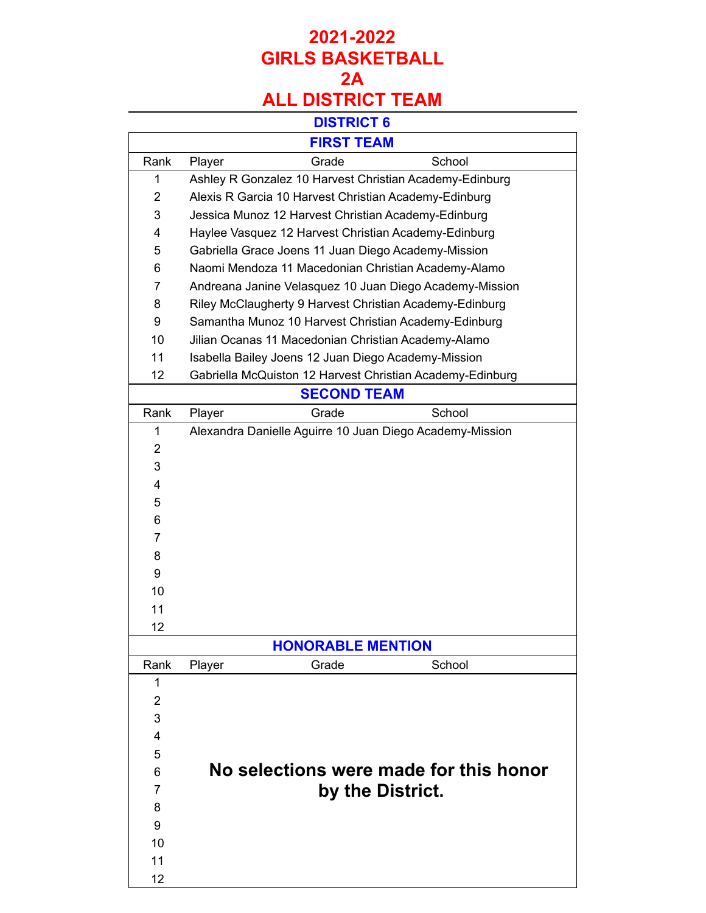|                | <b>FIRST TEAM</b>                                         |
|----------------|-----------------------------------------------------------|
| Rank           | School<br>Grade<br>Player                                 |
| 1              | Ashley R Gonzalez 10 Harvest Christian Academy-Edinburg   |
| $\overline{2}$ | Alexis R Garcia 10 Harvest Christian Academy-Edinburg     |
| 3              | Jessica Munoz 12 Harvest Christian Academy-Edinburg       |
| 4              | Haylee Vasquez 12 Harvest Christian Academy-Edinburg      |
| 5              | Gabriella Grace Joens 11 Juan Diego Academy-Mission       |
| 6              | Naomi Mendoza 11 Macedonian Christian Academy-Alamo       |
| $\overline{7}$ | Andreana Janine Velasquez 10 Juan Diego Academy-Mission   |
| 8              | Riley McClaugherty 9 Harvest Christian Academy-Edinburg   |
| 9              | Samantha Munoz 10 Harvest Christian Academy-Edinburg      |
| 10             | Jilian Ocanas 11 Macedonian Christian Academy-Alamo       |
| 11             | Isabella Bailey Joens 12 Juan Diego Academy-Mission       |
| 12             | Gabriella McQuiston 12 Harvest Christian Academy-Edinburg |
|                | <b>SECOND TEAM</b>                                        |
| Rank           | Grade<br>School<br>Player                                 |
| 1              | Alexandra Danielle Aguirre 10 Juan Diego Academy-Mission  |
| $\overline{2}$ |                                                           |
| 3              |                                                           |
| 4              |                                                           |
| 5              |                                                           |
| 6              |                                                           |
| $\overline{7}$ |                                                           |
| 8              |                                                           |
| 9              |                                                           |
| 10             |                                                           |
| 11             |                                                           |
| 12             |                                                           |
|                | <b>HONORABLE MENTION</b>                                  |
| Rank           | School<br>Player<br>Grade                                 |
| 1              |                                                           |
| $\overline{2}$ |                                                           |
| 3              |                                                           |
| 4              |                                                           |
| 5              |                                                           |
| 6              | No selections were made for this honor                    |
| 7              | by the District.                                          |
| 8              |                                                           |
| 9              |                                                           |
| 10             |                                                           |
| 11             |                                                           |
| 12             |                                                           |